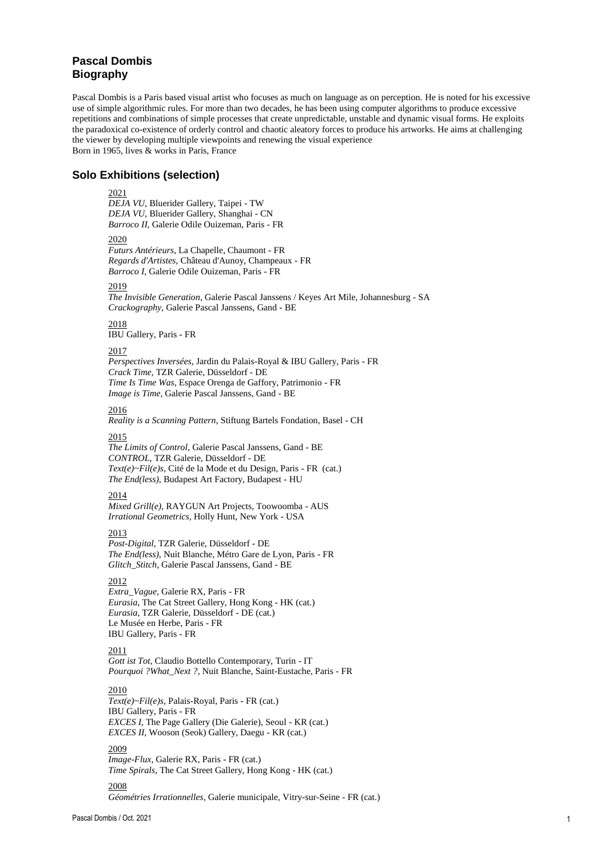# **Pascal Dombis Biography**

Pascal Dombis is a Paris based visual artist who focuses as much on language as on perception. He is noted for his excessive use of simple algorithmic rules. For more than two decades, he has been using computer algorithms to produce excessive repetitions and combinations of simple processes that create unpredictable, unstable and dynamic visual forms. He exploits the paradoxical co-existence of orderly control and chaotic aleatory forces to produce his artworks. He aims at challenging the viewer by developing multiple viewpoints and renewing the visual experience Born in 1965, lives & works in Paris, France

# **Solo Exhibitions (selection)**

#### 2021

*DEJA VU*, Bluerider Gallery, Taipei - TW *DEJA VU*, Bluerider Gallery, Shanghai - CN *Barroco II,* Galerie Odile Ouizeman, Paris - FR

### 2020

*Futurs Antérieurs*, La Chapelle, Chaumont - FR *Regards d'Artistes*, Château d'Aunoy, Champeaux - FR *Barroco I,* Galerie Odile Ouizeman, Paris - FR

# 2019

*The Invisible Generation*, Galerie Pascal Janssens / Keyes Art Mile, Johannesburg - SA *Crackography,* Galerie Pascal Janssens, Gand - BE

2018 IBU Gallery, Paris - FR

# 2017

*Perspectives Inversées*, Jardin du Palais-Royal & IBU Gallery, Paris - FR *Crack Time*, TZR Galerie, Düsseldorf - DE *[Time](../work-in-progress/site%20fev%2008/work/RRB_show.htm) Is Time Was*, Espace Orenga de Gaffory, Patrimonio - FR *Image is Time*, Galerie Pascal Janssens, Gand - BE

# 2016

*Reality is a Scanning Pattern*, Stiftung Bartels Fondation, Basel - CH

### 2015

*The Limits of Control*, Galerie Pascal Janssens, Gand - BE *CONTROL*, TZR Galerie, Düsseldorf - DE *Text(e)~Fil(e)s,* Cité de la Mode et du Design, Paris - FR (cat.) *The End(less)*, Budapest Art Factory, Budapest - HU

## 2014

*Mixed Grill(e)*, RAYGUN Art Projects, Toowoomba - AUS *Irrational Geometrics*, Holly Hunt, New York - USA

# 2013

*Post-Digital*, TZR Galerie, Düsseldorf - DE *The End(less)*, Nuit Blanche, Métro Gare de Lyon, Paris - FR *Glitch\_Stitch*, Galerie Pascal Janssens, Gand - BE

# 2012

*Extra\_Vague*, Galerie RX, Paris - FR *Eurasia*, The Cat Street Gallery, Hong Kong - HK (cat.) *Eurasia*, TZR Galerie, Düsseldorf - DE (cat.) Le Musée en Herbe, Paris - FR IBU Gallery, Paris - FR

### 2011

*Gott ist Tot,* Claudio Bottello Contemporary, Turin - IT *Pourquoi ?What\_Next ?,* Nuit Blanche, Saint-Eustache, Paris - FR

## 2010

*Text(e)~Fil(e)s*, Palais-Royal, Paris - FR (cat.) IBU Gallery, Paris - FR *EXCES I,* The Page Gallery (Die Galerie), Seoul - KR (cat.) *EXCES II*, Wooson (Seok) Gallery, Daegu - KR (cat.)

### 2009

*Image-Flux*, Galerie RX, Paris - FR (cat.) *Time Spirals*, The Cat Street Gallery, Hong Kong - HK (cat.)

# 2008

*Géométries Irrationnelles*, Galerie municipale, Vitry-sur-Seine - FR (cat.)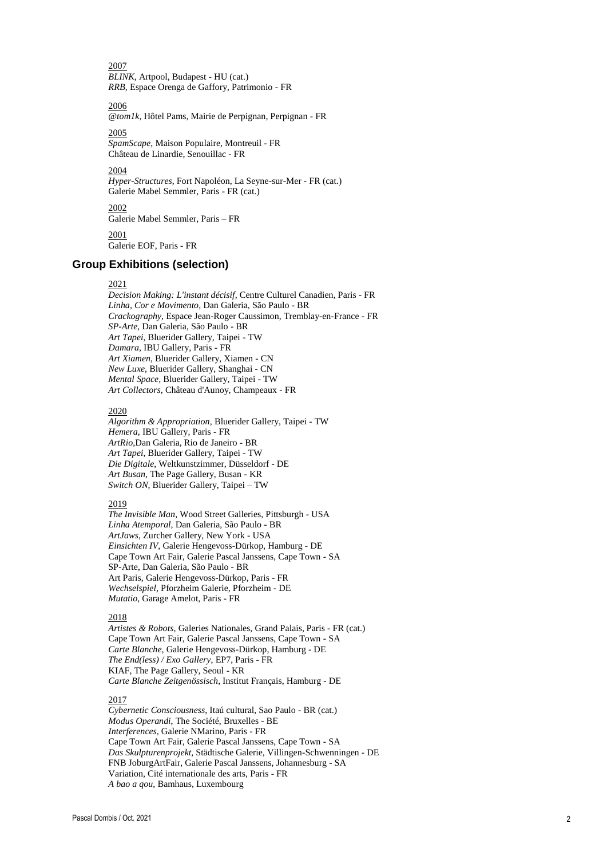2007 [BLINK](../work-in-progress/site%20fev%2008/work/BLINK_artpool.htm), Artpool, Budapest - HU (cat.) *[RRB](../work-in-progress/site%20fev%2008/work/RRB_show.htm)*, Espace Orenga de Gaffory, Patrimonio - FR

2006

*[@tom1k](../work-in-progress/site%20fev%2008/work/@tom1k_0.htm)*, Hôtel Pams, Mairie de Perpignan, Perpignan - FR

2005 *SpamScape*, Maison Populaire, Montreuil - FR Château de Linardie, Senouillac - FR

2004 Hyper-Structures, Fort Napoléon, La Seyne-sur-Mer - FR (cat.) Galerie Mabel Semmler, Paris - FR (cat.)

2002 Galerie Mabel Semmler, Paris – FR 2001

Galerie EOF, Paris - FR

# **Group Exhibitions (selection)**

### 2021

*Decision Making: L'instant décisif,* Centre Culturel Canadien, Paris - FR *Linha, Cor e Movimento*, Dan Galeria, São Paulo - BR Crackography, Espace Jean-Roger Caussimon, Tremblay-en-France - FR *SP -Arte*, Dan Galeria, São Paulo - BR *Art Tapei*, Bluerider Gallery, Taipei - TW *Damara*, IBU Gallery, Paris - FR *Art Xiamen*, Bluerider Gallery, Xiamen - CN *New Luxe*, Bluerider Gallery, Shanghai - CN *Me ntal Space,* Bluerider Gallery, Taipei - TW *Art Collectors*, Château d'Aunoy, Champeaux - FR

#### 2020

*Algorithm & Appropriation,* Bluerider Gallery, Taipei - TW *Hemera*, IBU Gallery, Paris - FR *ArtRio*,Dan Galeria, Rio de Janeiro - BR *Art Tapei*, Bluerider Gallery, Taipei - TW *Die Digitale*, Weltkunstzimmer, Düsseldorf - DE Art Busan, The Page Gallery, Busan - KR *Switch ON*, Bluerider Gallery, Taipei – TW

### 2019

*The Invisible Man*, Wood Street Galleries, Pittsburgh - USA *Linha Atemporal*, Dan Galeria, São Paulo - BR *ArtJaws*, Zurcher Gallery, New York - USA *Einsichten IV*, Galerie Hengevoss -Dürkop, Hamburg - DE Cape Town Art Fair, Galerie Pascal Janssens, Cape Town - SA SP -Arte, Dan Galeria, São Paulo - BR Art Paris, Galerie Hengevoss -Dürkop, Paris - FR *Wechselspiel*, Pforzheim Galerie, Pforzheim - DE *Mutatio*, Garage Amelot, Paris - FR

#### 2018

*Artistes & Robots,* Galeries Nationales, Grand Palais, Paris - FR (cat.) Cape Town Art Fair, Galerie Pascal Janssens, Cape Town - SA *Carte Blanche*, Galerie Hengevoss -Dürkop, Hamburg - DE *The End(less) / Exo Gallery*, EP7, Paris - FR KIAF, The Page Gallery, Seoul - KR *Carte Blanche Zeitgenössisch*, Institut Français, Hamburg - DE

# 2017

*Cybernetic Consciousness*, Itaú cultural, Sao Paulo - BR (cat.) *Modus Operandi*, The Société, Bruxelles - BE *Interferences*, Galerie NMarino, Paris - FR Cape Town Art Fair, Galerie Pascal Janssens, Cape Town - SA *Das Skulpturenprojekt*, Städtische Galerie, Villingen -Schwenningen - DE FNB JoburgArtFair, Galerie Pascal Janssens, Johannesburg - SA Variation, Cité internationale des arts, Paris - FR *A bao a qou*, Bamhaus, Luxembourg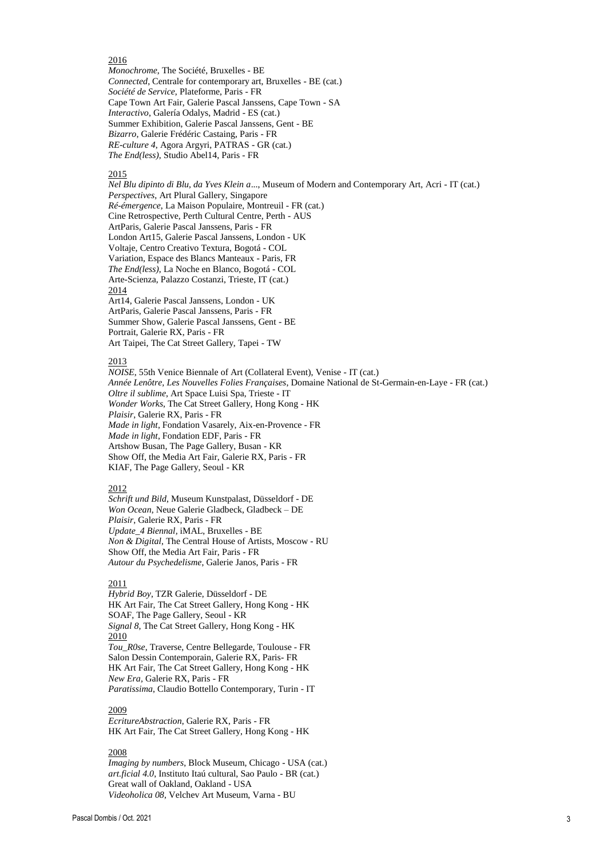# 2016

*Monochrome*, The Société, Bruxelles - BE *Connected*, Centrale for contemporary art, Bruxelles - BE (cat.) *Société de Service*, Plateforme, Paris - FR Cape Town Art Fair, Galerie Pascal Janssens, Cape Town - SA *Interactivo*, Galería Odalys, Madrid - ES (cat.) Summer Exhibition, Galerie Pascal Janssens, Gent - BE *Bizarro*, Galerie Frédéric Castaing, Paris - FR *RE-culture 4*, Agora Argyri, PATRAS - GR (cat.) *The End(less)*, Studio Abel14, Paris - FR

### 2015

*Nel Blu dipinto di Blu, da Yves Klein a*..., Museum of Modern and Contemporary Art, Acri - IT (cat.) *Perspectives*, Art Plural Gallery, Singapore *Ré-émergence*, La Maison Populaire, Montreuil - FR (cat.) Cine Retrospective, Perth Cultural Centre, Perth - AUS ArtParis, Galerie Pascal Janssens, Paris - FR London Art15, Galerie Pascal Janssens, London - UK Voltaje, Centro Creativo Textura, Bogotá - COL Variation, Espace des Blancs Manteaux - Paris, FR *The End(less)*, La Noche en Blanco, Bogotá - COL Arte-Scienza, Palazzo Costanzi, Trieste, IT (cat.) 2014 Art14, Galerie Pascal Janssens, London - UK ArtParis, Galerie Pascal Janssens, Paris - FR Summer Show, Galerie Pascal Janssens, Gent - BE Portrait, Galerie RX, Paris - FR Art Taipei, The Cat Street Gallery, Tapei - TW

## 2013

*NOISE*, 55th Venice Biennale of Art (Collateral Event), Venise - IT (cat.) *Année Lenôtre, Les Nouvelles Folies Françaises*, Domaine National de St-Germain-en-Laye - FR (cat.) *Oltre il sublime*, Art Space Luisi Spa, Trieste - IT *Wonder Works*, The Cat Street Gallery, Hong Kong - HK *Plaisir*, Galerie RX, Paris - FR *Made in light*, Fondation Vasarely, Aix-en-Provence - FR *Made in light*, Fondation EDF, Paris - FR Artshow Busan, The Page Gallery, Busan - KR Show Off, the Media Art Fair, Galerie RX, Paris - FR KIAF, The Page Gallery, Seoul - KR

#### 2012

*Schrift und Bild*, Museum Kunstpalast, Düsseldorf - DE *Won Ocean*, Neue Galerie Gladbeck, Gladbeck – DE *Plaisir*, Galerie RX, Paris - FR *Update\_4 Biennal,* iMAL, Bruxelles - BE *Non & Digital*, The Central House of Artists, Moscow - RU Show Off, the Media Art Fair, Paris - FR *Autour du Psychedelisme*, Galerie Janos, Paris - FR

#### 2011

*Hybrid Boy*, TZR Galerie, Düsseldorf - DE HK Art Fair, The Cat Street Gallery, Hong Kong - HK SOAF, The Page Gallery, Seoul - KR *Signal 8*, The Cat Street Gallery, Hong Kong - HK 2010 *Tou\_R0se*, Traverse, Centre Bellegarde, Toulouse - FR Salon Dessin Contemporain, Galerie RX, Paris- FR HK Art Fair, The Cat Street Gallery, Hong Kong - HK *New Era,* Galerie RX, Paris - FR *Paratissima*, Claudio Bottello Contemporary, Turin - IT

### 2009

*EcritureAbstraction*, Galerie RX, Paris - FR HK Art Fair, The Cat Street Gallery, Hong Kong - HK

#### 2008

*Imaging by numbers*, Block Museum, Chicago - USA (cat.) *art.ficial 4.0*, Instituto Itaú cultural, Sao Paulo - BR (cat.) Great wall of Oakland, Oakland - USA *Videoholica 08*, Velchev Art Museum, Varna - BU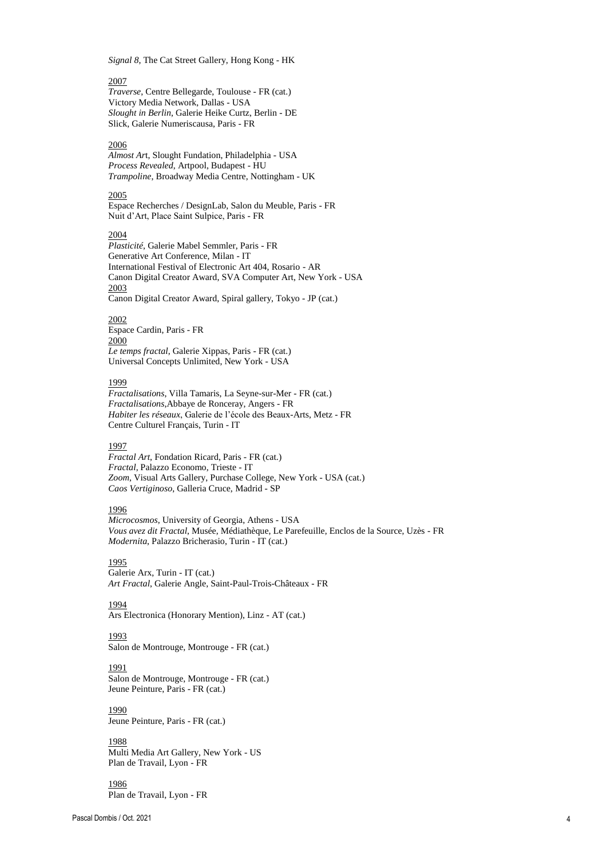*Signal 8*, The Cat Street Gallery, Hong Kong - HK

# 2007

*Traverse*, Centre Bellegarde, Toulouse - FR (cat.) Victory Media Network, Dallas - USA *Slought in Berlin*, Galerie Heike Curtz, Berlin - DE Slick, Galerie Numeriscausa, Paris - FR

### 2006

*Almost Ar*t, Slought Fundation, Philadelphia - USA *Process Revealed*, Artpool, Budapest - HU *Trampoline*, Broadway Media Centre, Nottingham - UK

### 2005

Espace Recherches / DesignLab, Salon du Meuble, Paris - FR Nuit d'Art, Place Saint Sulpice, Paris - FR

### 2004

*Plasticité*, Galerie Mabel Semmler, Paris - FR Generative Art Conference, Milan - IT International Festival of Electronic Art 404, Rosario - AR Canon Digital Creator Award, SVA Computer Art, New York - USA 2003 Canon Digital Creator Award, Spiral gallery, Tokyo - JP (cat.)

#### 2002

Espace Cardin, Paris - FR 2000 *Le temps fractal*, Galerie Xippas, Paris - FR (cat.) Universal Concepts Unlimited, New York - USA

#### 1999

*Fractalisations*, Villa Tamaris, La Seyne-sur-Mer - FR (cat.) *Fractalisations*,Abbaye de Ronceray, Angers - FR *Habiter les réseaux*, Galerie de l'école des Beaux-Arts, Metz - FR Centre Culturel Français, Turin - IT

### 1997

*Fractal Art*, Fondation Ricard, Paris - FR (cat.) *Fractal*, Palazzo Economo, Trieste - IT *Zoom*, Visual Arts Gallery, Purchase College, New York - USA (cat.) *Caos Vertiginoso*, Galleria Cruce, Madrid - SP

# 1996

*Microcosmos*, University of Georgia, Athens - USA *Vous avez dit Fractal*, Musée, Médiathèque, Le Parefeuille, Enclos de la Source, Uzès - FR *Modernita*, Palazzo Bricherasio, Turin - IT (cat.)

### 1995

Galerie Arx, Turin - IT (cat.) *Art Fractal*, Galerie Angle, Saint-Paul-Trois-Châteaux - FR

1994 Ars Electronica (Honorary Mention), Linz - AT (cat.)

#### 1993

Salon de Montrouge, Montrouge - FR (cat.)

### 1991

Salon de Montrouge, Montrouge - FR (cat.) Jeune Peinture, Paris - FR (cat.)

### 1990 Jeune Peinture, Paris - FR (cat.)

# 1988

Multi Media Art Gallery, New York - US Plan de Travail, Lyon - FR

1986 Plan de Travail, Lyon - FR